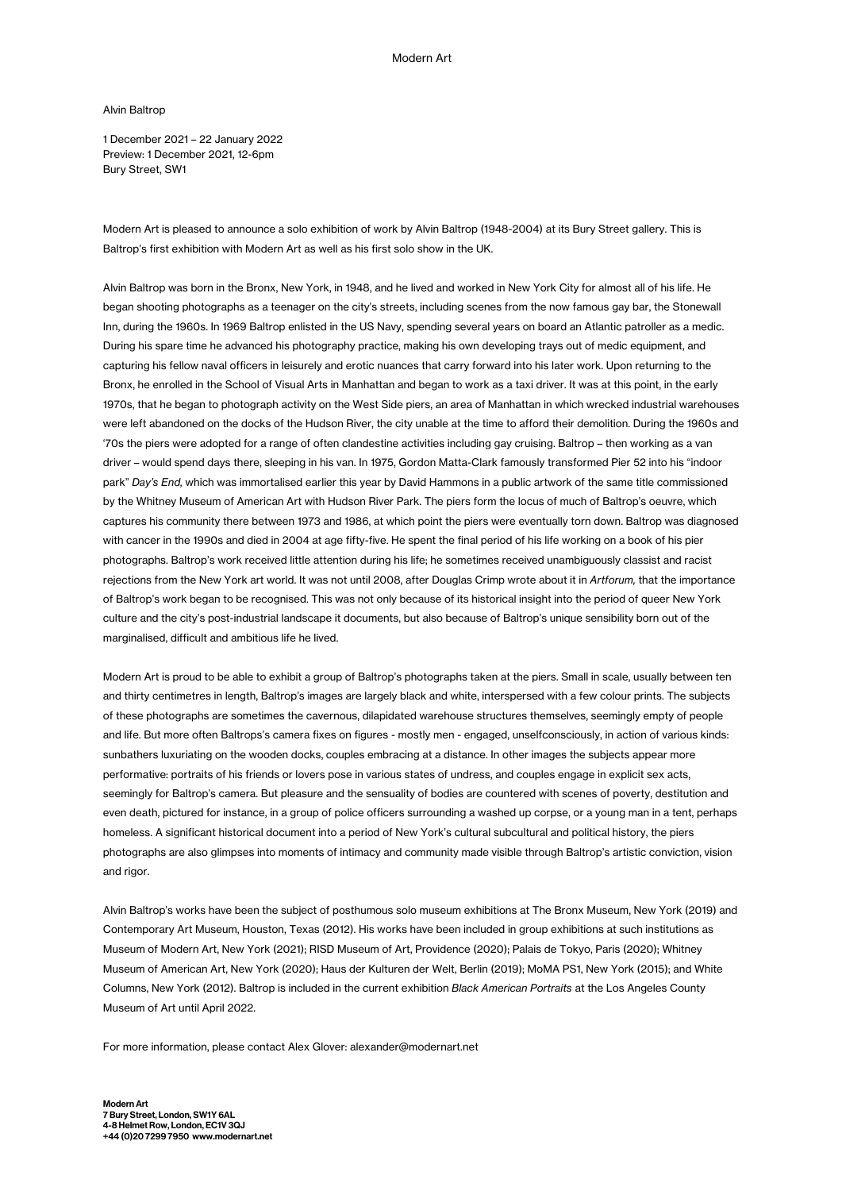Alvin Baltrop

1 December 2021 – 22 January 2022 Preview: 1 December 2021, 12-6pm Bury Street, SW1

Modern Art is pleased to announce a solo exhibition of work by Alvin Baltrop (1948-2004) at its Bury Street gallery. This is Baltrop's first exhibition with Modern Art as well as his first solo show in the UK.

Alvin Baltrop was born in the Bronx, New York, in 1948, and he lived and worked in New York City for almost all of his life. He began shooting photographs as a teenager on the city's streets, including scenes from the now famous gay bar, the Stonewall Inn, during the 1960s. In 1969 Baltrop enlisted in the US Navy, spending several years on board an Atlantic patroller as a medic. During his spare time he advanced his photography practice, making his own developing trays out of medic equipment, and capturing his fellow naval officers in leisurely and erotic nuances that carry forward into his later work. Upon returning to the Bronx, he enrolled in the School of Visual Arts in Manhattan and began to work as a taxi driver. It was at this point, in the early 1970s, that he began to photograph activity on the West Side piers, an area of Manhattan in which wrecked industrial warehouses were left abandoned on the docks of the Hudson River, the city unable at the time to afford their demolition. During the 1960s and '70s the piers were adopted for a range of often clandestine activities including gay cruising. Baltrop – then working as a van driver – would spend days there, sleeping in his van. In 1975, Gordon Matta-Clark famously transformed Pier 52 into his "indoor park" *Day's End,* which was immortalised earlier this year by David Hammons in a public artwork of the same title commissioned by the Whitney Museum of American Art with Hudson River Park. The piers form the locus of much of Baltrop's oeuvre, which captures his community there between 1973 and 1986, at which point the piers were eventually torn down. Baltrop was diagnosed with cancer in the 1990s and died in 2004 at age fifty-five. He spent the final period of his life working on a book of his pier photographs. Baltrop's work received little attention during his life; he sometimes received unambiguously classist and racist rejections from the New York art world. It was not until 2008, after Douglas Crimp wrote about it in *Artforum,* that the importance of Baltrop's work began to be recognised. This was not only because of its historical insight into the period of queer New York culture and the city's post-industrial landscape it documents, but also because of Baltrop's unique sensibility born out of the marginalised, difficult and ambitious life he lived.

Modern Art is proud to be able to exhibit a group of Baltrop's photographs taken at the piers. Small in scale, usually between ten and thirty centimetres in length, Baltrop's images are largely black and white, interspersed with a few colour prints. The subjects of these photographs are sometimes the cavernous, dilapidated warehouse structures themselves, seemingly empty of people and life. But more often Baltrops's camera fixes on figures - mostly men - engaged, unselfconsciously, in action of various kinds: sunbathers luxuriating on the wooden docks, couples embracing at a distance. In other images the subjects appear more performative: portraits of his friends or lovers pose in various states of undress, and couples engage in explicit sex acts, seemingly for Baltrop's camera. But pleasure and the sensuality of bodies are countered with scenes of poverty, destitution and even death, pictured for instance, in a group of police officers surrounding a washed up corpse, or a young man in a tent, perhaps homeless. A significant historical document into a period of New York's cultural subcultural and political history, the piers photographs are also glimpses into moments of intimacy and community made visible through Baltrop's artistic conviction, vision and rigor.

Alvin Baltrop's works have been the subject of posthumous solo museum exhibitions at The Bronx Museum, New York (2019) and Contemporary Art Museum, Houston, Texas (2012). His works have been included in group exhibitions at such institutions as Museum of Modern Art, New York (2021); RISD Museum of Art, Providence (2020); Palais de Tokyo, Paris (2020); Whitney Museum of American Art, New York (2020); Haus der Kulturen der Welt, Berlin (2019); MoMA PS1, New York (2015); and White Columns, New York (2012). Baltrop is included in the current exhibition *Black American Portraits* at the Los Angeles County Museum of Art until April 2022.

For more information, please contact Alex Glover: alexander@modernart.net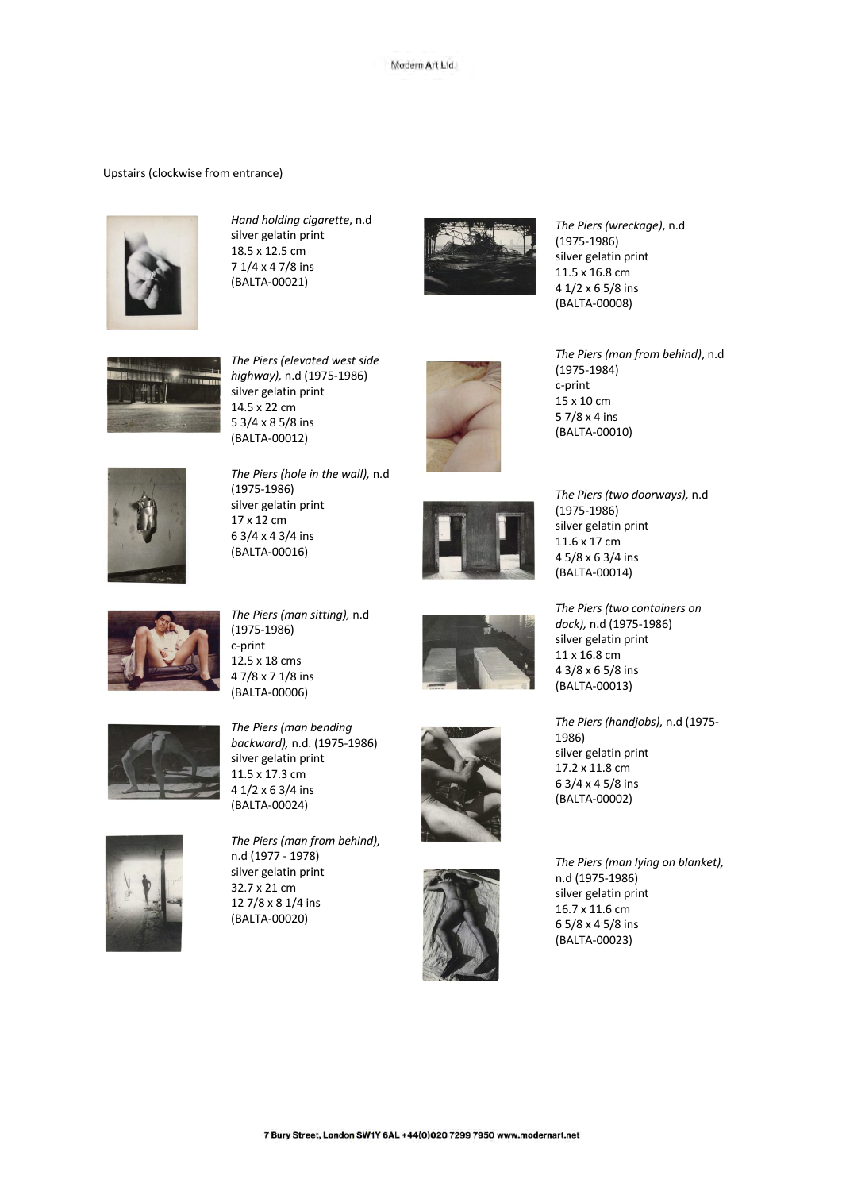## Upstairs (clockwise from entrance)



*Hand holding cigarette*, n.d silver gelatin print 18.5 x 12.5 cm 7 1/4 x 4 7/8 ins (BALTA -00021)



*The Piers (wreckage)*, n.d (1975 -1986) silver gelatin print 11.5 x 16.8 cm 4 1/2 x 6 5/8 ins (BALTA -00008)



*The Piers (elevated west side highway),* n.d (1975 -1986) silver gelatin print 14.5 x 22 cm 5 3/4 x 8 5/8 ins (BALTA -00012)



*The Piers (hole in the wall),* n.d (1975 -1986) silver gelatin print 17 x 12 cm 6 3/4 x 4 3/4 ins (BALTA -00016)



*The Piers (man from behind)*, n.d (1975 -1984) c-print 15 x 10 cm 5 7/8 x 4 ins (BALTA -00010)



*The Piers (two doorways),* n.d (1975 -1986) silver gelatin print 11.6 x 17 cm 4 5/8 x 6 3/4 ins (BALTA -00014)

*The Piers (two containers on dock),* n.d (1975 -1986) silver gelatin print 11 x 16.8 cm 4 3/8 x 6 5/8 ins (BALTA -00013)



*The Piers (man sitting),* n.d (1975 -1986) c-print 12.5 x 18 cms 4 7/8 x 7 1/8 ins (BALTA -00006)



*The Piers (handjobs),* n.d (1975 - 1986)

silver gelatin print 17.2 x 11.8 cm 6 3/4 x 4 5/8 ins (BALTA -00002)

*The Piers (man lying on blanket),*  n.d (1975 -1986) silver gelatin print 16.7 x 11.6 cm 6 5/8 x 4 5/8 ins (BALTA -00023)







*The Piers (man from behind),*  n.d (1977 - 1978) silver gelatin print 32.7 x 21 cm 12 7/8 x 8 1/4 ins (BALTA -00020)



7 Bury Street, London SW1Y 6AL +44(0)020 7299 7950 www.modernart.net